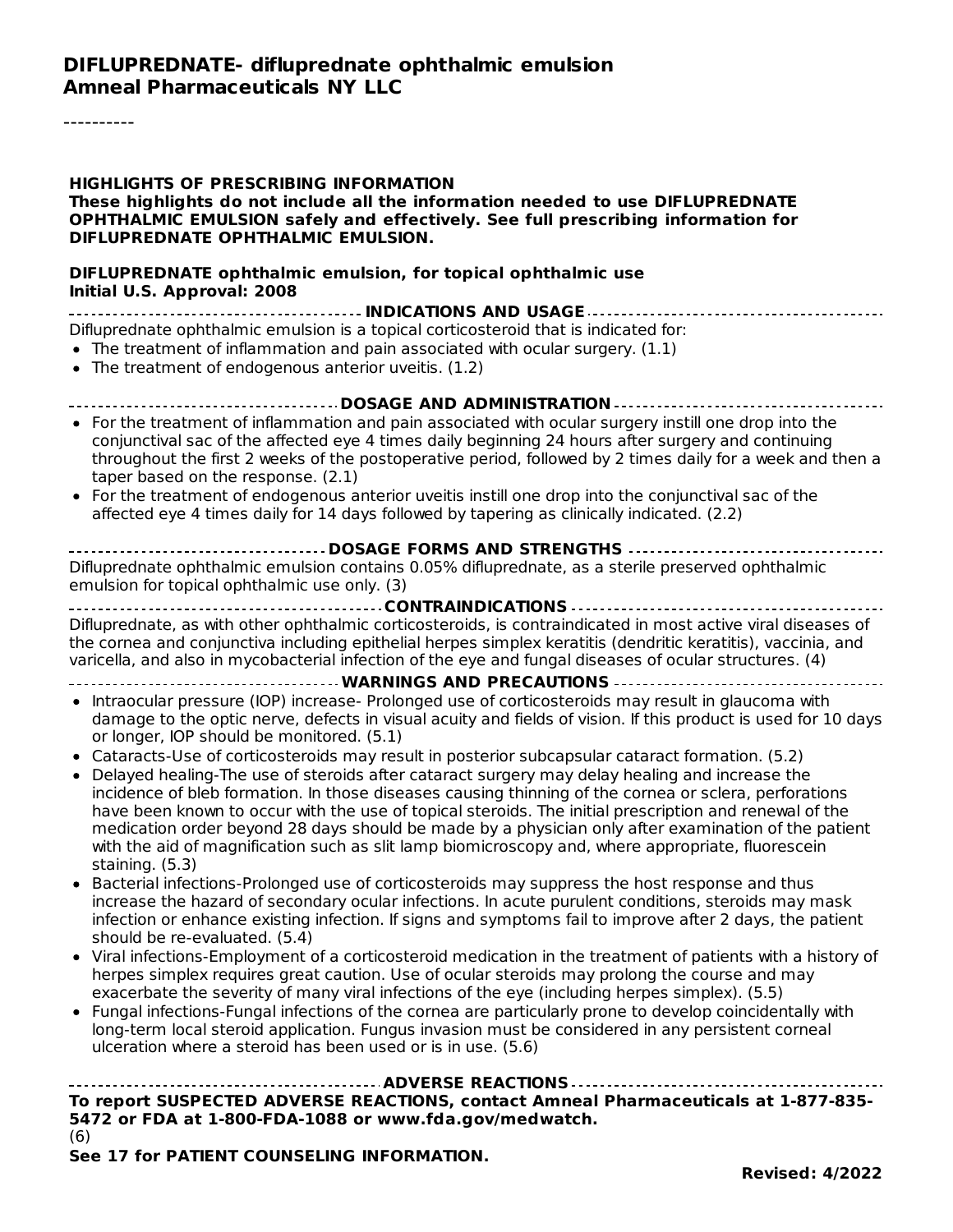----------

#### **HIGHLIGHTS OF PRESCRIBING INFORMATION These highlights do not include all the information needed to use DIFLUPREDNATE OPHTHALMIC EMULSION safely and effectively. See full prescribing information for DIFLUPREDNATE OPHTHALMIC EMULSION.**

#### **DIFLUPREDNATE ophthalmic emulsion, for topical ophthalmic use Initial U.S. Approval: 2008**

**INDICATIONS AND USAGE** Difluprednate ophthalmic emulsion is a topical corticosteroid that is indicated for:

- $\bullet$  The treatment of inflammation and pain associated with ocular surgery.  $(1.1)$
- The treatment of endogenous anterior uveitis. (1.2)

#### **DOSAGE AND ADMINISTRATION**

- For the treatment of inflammation and pain associated with ocular surgery instill one drop into the conjunctival sac of the affected eye 4 times daily beginning 24 hours after surgery and continuing throughout the first 2 weeks of the postoperative period, followed by 2 times daily for a week and then a taper based on the response. (2.1)
- For the treatment of endogenous anterior uveitis instill one drop into the conjunctival sac of the  $\bullet$ affected eye 4 times daily for 14 days followed by tapering as clinically indicated. (2.2)

#### **DOSAGE FORMS AND STRENGTHS** Difluprednate ophthalmic emulsion contains 0.05% difluprednate, as a sterile preserved ophthalmic emulsion for topical ophthalmic use only. (3)

**CONTRAINDICATIONS** Difluprednate, as with other ophthalmic corticosteroids, is contraindicated in most active viral diseases of the cornea and conjunctiva including epithelial herpes simplex keratitis (dendritic keratitis), vaccinia, and varicella, and also in mycobacterial infection of the eye and fungal diseases of ocular structures. (4)

- **WARNINGS AND PRECAUTIONS**
- Intraocular pressure (IOP) increase- Prolonged use of corticosteroids may result in glaucoma with damage to the optic nerve, defects in visual acuity and fields of vision. If this product is used for 10 days or longer, IOP should be monitored. (5.1)
- Cataracts-Use of corticosteroids may result in posterior subcapsular cataract formation. (5.2)
- Delayed healing-The use of steroids after cataract surgery may delay healing and increase the incidence of bleb formation. In those diseases causing thinning of the cornea or sclera, perforations have been known to occur with the use of topical steroids. The initial prescription and renewal of the medication order beyond 28 days should be made by a physician only after examination of the patient with the aid of magnification such as slit lamp biomicroscopy and, where appropriate, fluorescein staining. (5.3)
- Bacterial infections-Prolonged use of corticosteroids may suppress the host response and thus increase the hazard of secondary ocular infections. In acute purulent conditions, steroids may mask infection or enhance existing infection. If signs and symptoms fail to improve after 2 days, the patient should be re-evaluated. (5.4)
- Viral infections-Employment of a corticosteroid medication in the treatment of patients with a history of herpes simplex requires great caution. Use of ocular steroids may prolong the course and may exacerbate the severity of many viral infections of the eye (including herpes simplex). (5.5)
- Fungal infections-Fungal infections of the cornea are particularly prone to develop coincidentally with long-term local steroid application. Fungus invasion must be considered in any persistent corneal ulceration where a steroid has been used or is in use. (5.6)

**ADVERSE REACTIONS**

**To report SUSPECTED ADVERSE REACTIONS, contact Amneal Pharmaceuticals at 1-877-835- 5472 or FDA at 1-800-FDA-1088 or www.fda.gov/medwatch.** (6)

**See 17 for PATIENT COUNSELING INFORMATION.**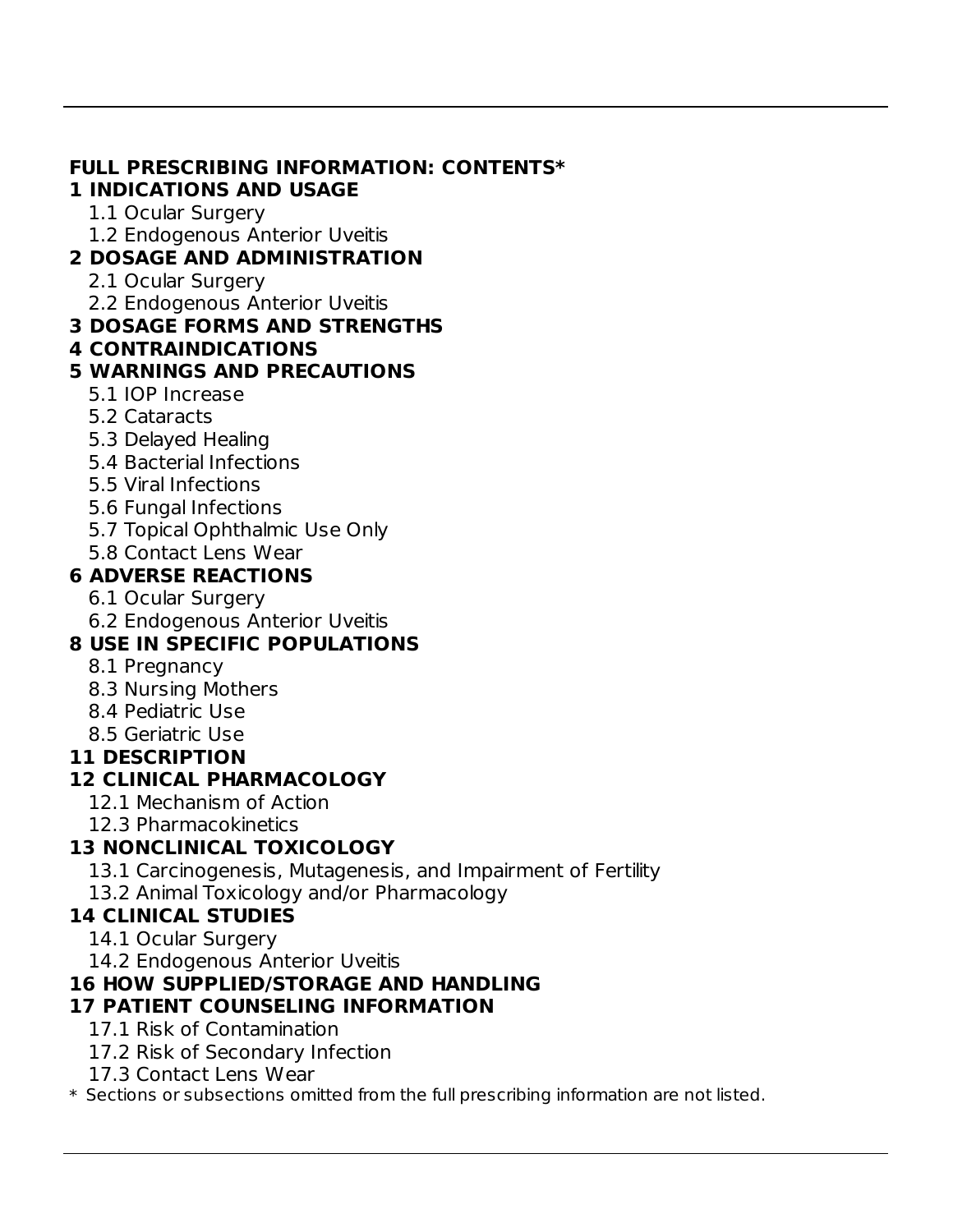#### **FULL PRESCRIBING INFORMATION: CONTENTS\* 1 INDICATIONS AND USAGE**

- 1.1 Ocular Surgery
- 1.2 Endogenous Anterior Uveitis

### **2 DOSAGE AND ADMINISTRATION**

- 2.1 Ocular Surgery
- 2.2 Endogenous Anterior Uveitis

### **3 DOSAGE FORMS AND STRENGTHS**

### **4 CONTRAINDICATIONS**

### **5 WARNINGS AND PRECAUTIONS**

- 5.1 IOP Increase
- 5.2 Cataracts
- 5.3 Delayed Healing
- 5.4 Bacterial Infections
- 5.5 Viral Infections
- 5.6 Fungal Infections
- 5.7 Topical Ophthalmic Use Only
- 5.8 Contact Lens Wear

### **6 ADVERSE REACTIONS**

- 6.1 Ocular Surgery
- 6.2 Endogenous Anterior Uveitis

# **8 USE IN SPECIFIC POPULATIONS**

- 8.1 Pregnancy
- 8.3 Nursing Mothers
- 8.4 Pediatric Use
- 8.5 Geriatric Use

### **11 DESCRIPTION**

# **12 CLINICAL PHARMACOLOGY**

- 12.1 Mechanism of Action
- 12.3 Pharmacokinetics

# **13 NONCLINICAL TOXICOLOGY**

- 13.1 Carcinogenesis, Mutagenesis, and Impairment of Fertility
- 13.2 Animal Toxicology and/or Pharmacology

### **14 CLINICAL STUDIES**

- 14.1 Ocular Surgery
- 14.2 Endogenous Anterior Uveitis

# **16 HOW SUPPLIED/STORAGE AND HANDLING**

# **17 PATIENT COUNSELING INFORMATION**

- 17.1 Risk of Contamination
- 17.2 Risk of Secondary Infection
- 17.3 Contact Lens Wear

\* Sections or subsections omitted from the full prescribing information are not listed.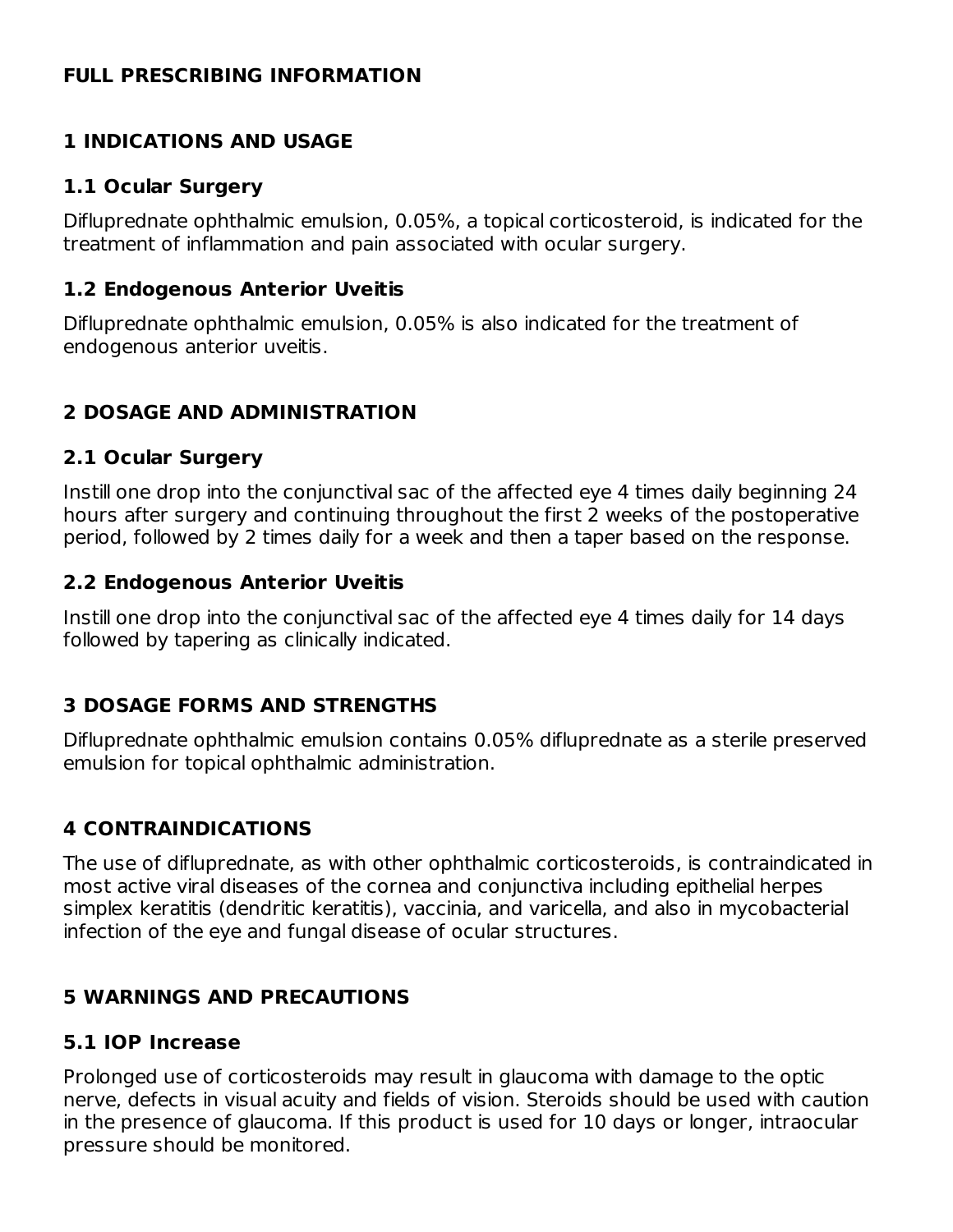#### **FULL PRESCRIBING INFORMATION**

#### **1 INDICATIONS AND USAGE**

#### **1.1 Ocular Surgery**

Difluprednate ophthalmic emulsion, 0.05%, a topical corticosteroid, is indicated for the treatment of inflammation and pain associated with ocular surgery.

#### **1.2 Endogenous Anterior Uveitis**

Difluprednate ophthalmic emulsion, 0.05% is also indicated for the treatment of endogenous anterior uveitis.

#### **2 DOSAGE AND ADMINISTRATION**

#### **2.1 Ocular Surgery**

Instill one drop into the conjunctival sac of the affected eye 4 times daily beginning 24 hours after surgery and continuing throughout the first 2 weeks of the postoperative period, followed by 2 times daily for a week and then a taper based on the response.

#### **2.2 Endogenous Anterior Uveitis**

Instill one drop into the conjunctival sac of the affected eye 4 times daily for 14 days followed by tapering as clinically indicated.

#### **3 DOSAGE FORMS AND STRENGTHS**

Difluprednate ophthalmic emulsion contains 0.05% difluprednate as a sterile preserved emulsion for topical ophthalmic administration.

### **4 CONTRAINDICATIONS**

The use of difluprednate, as with other ophthalmic corticosteroids, is contraindicated in most active viral diseases of the cornea and conjunctiva including epithelial herpes simplex keratitis (dendritic keratitis), vaccinia, and varicella, and also in mycobacterial infection of the eye and fungal disease of ocular structures.

#### **5 WARNINGS AND PRECAUTIONS**

#### **5.1 IOP Increase**

Prolonged use of corticosteroids may result in glaucoma with damage to the optic nerve, defects in visual acuity and fields of vision. Steroids should be used with caution in the presence of glaucoma. If this product is used for 10 days or longer, intraocular pressure should be monitored.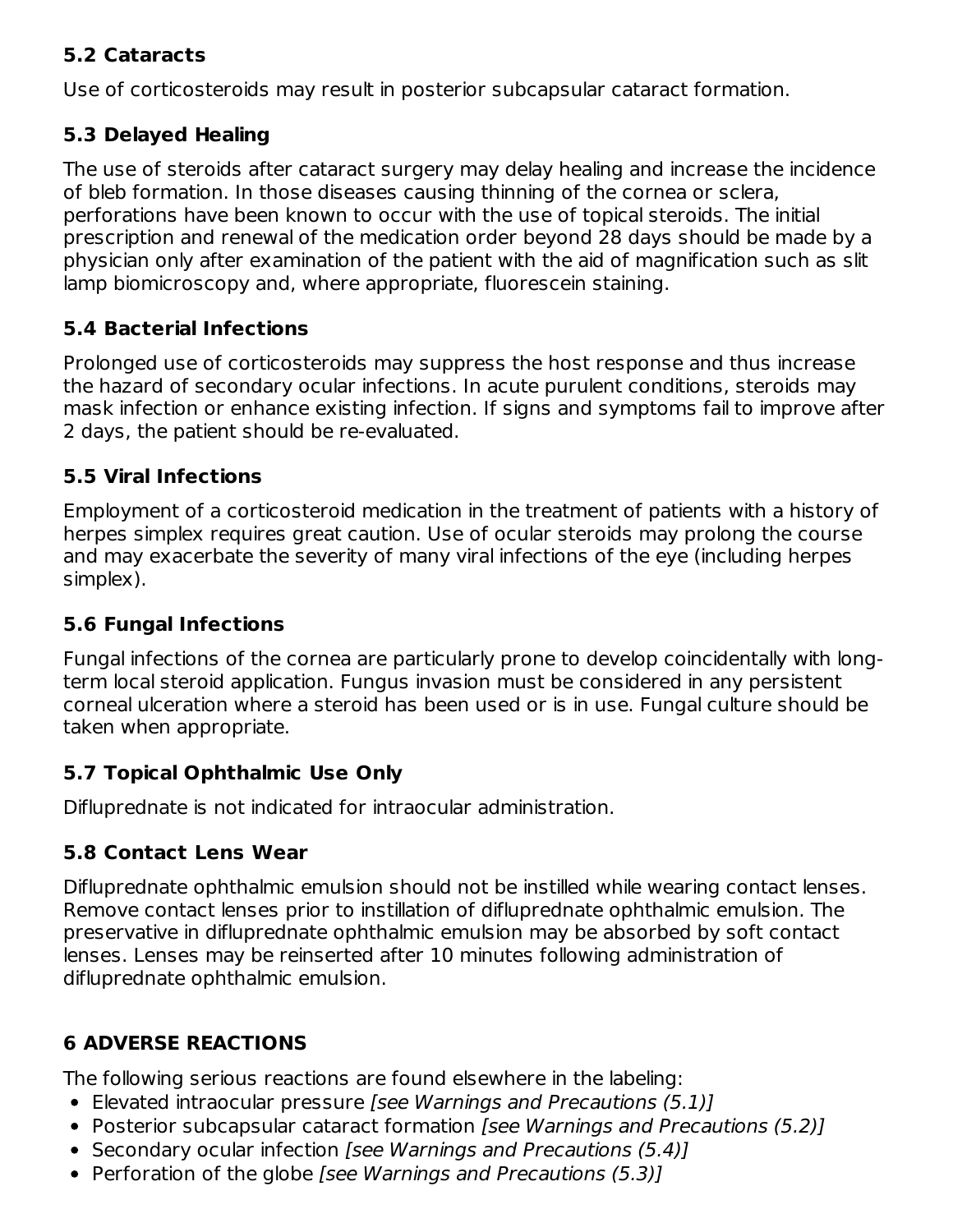#### **5.2 Cataracts**

Use of corticosteroids may result in posterior subcapsular cataract formation.

### **5.3 Delayed Healing**

The use of steroids after cataract surgery may delay healing and increase the incidence of bleb formation. In those diseases causing thinning of the cornea or sclera, perforations have been known to occur with the use of topical steroids. The initial prescription and renewal of the medication order beyond 28 days should be made by a physician only after examination of the patient with the aid of magnification such as slit lamp biomicroscopy and, where appropriate, fluorescein staining.

#### **5.4 Bacterial Infections**

Prolonged use of corticosteroids may suppress the host response and thus increase the hazard of secondary ocular infections. In acute purulent conditions, steroids may mask infection or enhance existing infection. If signs and symptoms fail to improve after 2 days, the patient should be re-evaluated.

#### **5.5 Viral Infections**

Employment of a corticosteroid medication in the treatment of patients with a history of herpes simplex requires great caution. Use of ocular steroids may prolong the course and may exacerbate the severity of many viral infections of the eye (including herpes simplex).

### **5.6 Fungal Infections**

Fungal infections of the cornea are particularly prone to develop coincidentally with longterm local steroid application. Fungus invasion must be considered in any persistent corneal ulceration where a steroid has been used or is in use. Fungal culture should be taken when appropriate.

### **5.7 Topical Ophthalmic Use Only**

Difluprednate is not indicated for intraocular administration.

### **5.8 Contact Lens Wear**

Difluprednate ophthalmic emulsion should not be instilled while wearing contact lenses. Remove contact lenses prior to instillation of difluprednate ophthalmic emulsion. The preservative in difluprednate ophthalmic emulsion may be absorbed by soft contact lenses. Lenses may be reinserted after 10 minutes following administration of difluprednate ophthalmic emulsion.

### **6 ADVERSE REACTIONS**

The following serious reactions are found elsewhere in the labeling:

- Elevated intraocular pressure [see Warnings and Precautions (5.1)]
- Posterior subcapsular cataract formation [see Warnings and Precautions (5.2)]
- Secondary ocular infection [see Warnings and Precautions (5.4)]
- Perforation of the globe *[see Warnings and Precautions (5.3)]*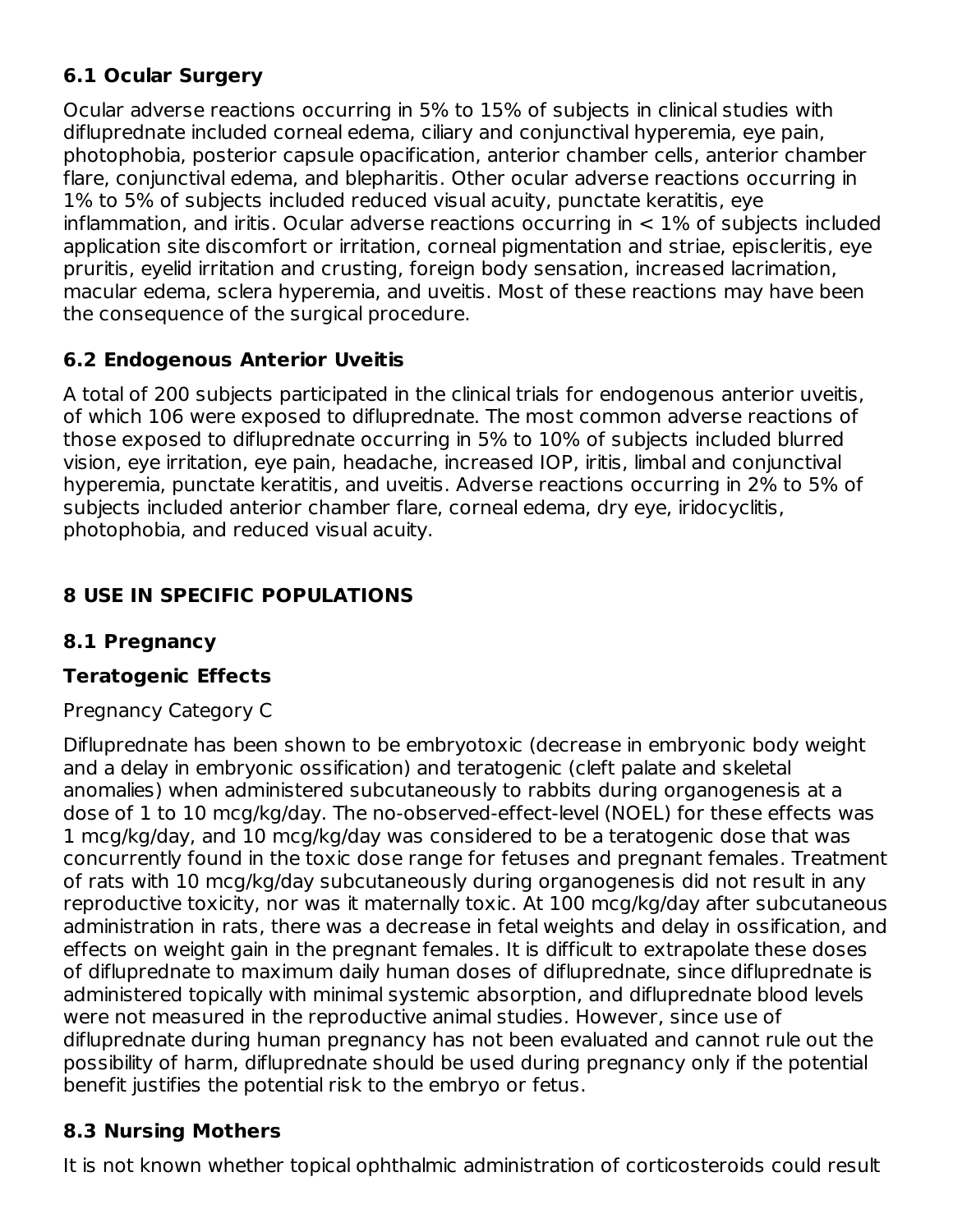### **6.1 Ocular Surgery**

Ocular adverse reactions occurring in 5% to 15% of subjects in clinical studies with difluprednate included corneal edema, ciliary and conjunctival hyperemia, eye pain, photophobia, posterior capsule opacification, anterior chamber cells, anterior chamber flare, conjunctival edema, and blepharitis. Other ocular adverse reactions occurring in 1% to 5% of subjects included reduced visual acuity, punctate keratitis, eye inflammation, and iritis. Ocular adverse reactions occurring in  $< 1\%$  of subjects included application site discomfort or irritation, corneal pigmentation and striae, episcleritis, eye pruritis, eyelid irritation and crusting, foreign body sensation, increased lacrimation, macular edema, sclera hyperemia, and uveitis. Most of these reactions may have been the consequence of the surgical procedure.

### **6.2 Endogenous Anterior Uveitis**

A total of 200 subjects participated in the clinical trials for endogenous anterior uveitis, of which 106 were exposed to difluprednate. The most common adverse reactions of those exposed to difluprednate occurring in 5% to 10% of subjects included blurred vision, eye irritation, eye pain, headache, increased IOP, iritis, limbal and conjunctival hyperemia, punctate keratitis, and uveitis. Adverse reactions occurring in 2% to 5% of subjects included anterior chamber flare, corneal edema, dry eye, iridocyclitis, photophobia, and reduced visual acuity.

### **8 USE IN SPECIFIC POPULATIONS**

### **8.1 Pregnancy**

### **Teratogenic Effects**

Pregnancy Category C

Difluprednate has been shown to be embryotoxic (decrease in embryonic body weight and a delay in embryonic ossification) and teratogenic (cleft palate and skeletal anomalies) when administered subcutaneously to rabbits during organogenesis at a dose of 1 to 10 mcg/kg/day. The no-observed-effect-level (NOEL) for these effects was 1 mcg/kg/day, and 10 mcg/kg/day was considered to be a teratogenic dose that was concurrently found in the toxic dose range for fetuses and pregnant females. Treatment of rats with 10 mcg/kg/day subcutaneously during organogenesis did not result in any reproductive toxicity, nor was it maternally toxic. At 100 mcg/kg/day after subcutaneous administration in rats, there was a decrease in fetal weights and delay in ossification, and effects on weight gain in the pregnant females. It is difficult to extrapolate these doses of difluprednate to maximum daily human doses of difluprednate, since difluprednate is administered topically with minimal systemic absorption, and difluprednate blood levels were not measured in the reproductive animal studies. However, since use of difluprednate during human pregnancy has not been evaluated and cannot rule out the possibility of harm, difluprednate should be used during pregnancy only if the potential benefit justifies the potential risk to the embryo or fetus.

### **8.3 Nursing Mothers**

It is not known whether topical ophthalmic administration of corticosteroids could result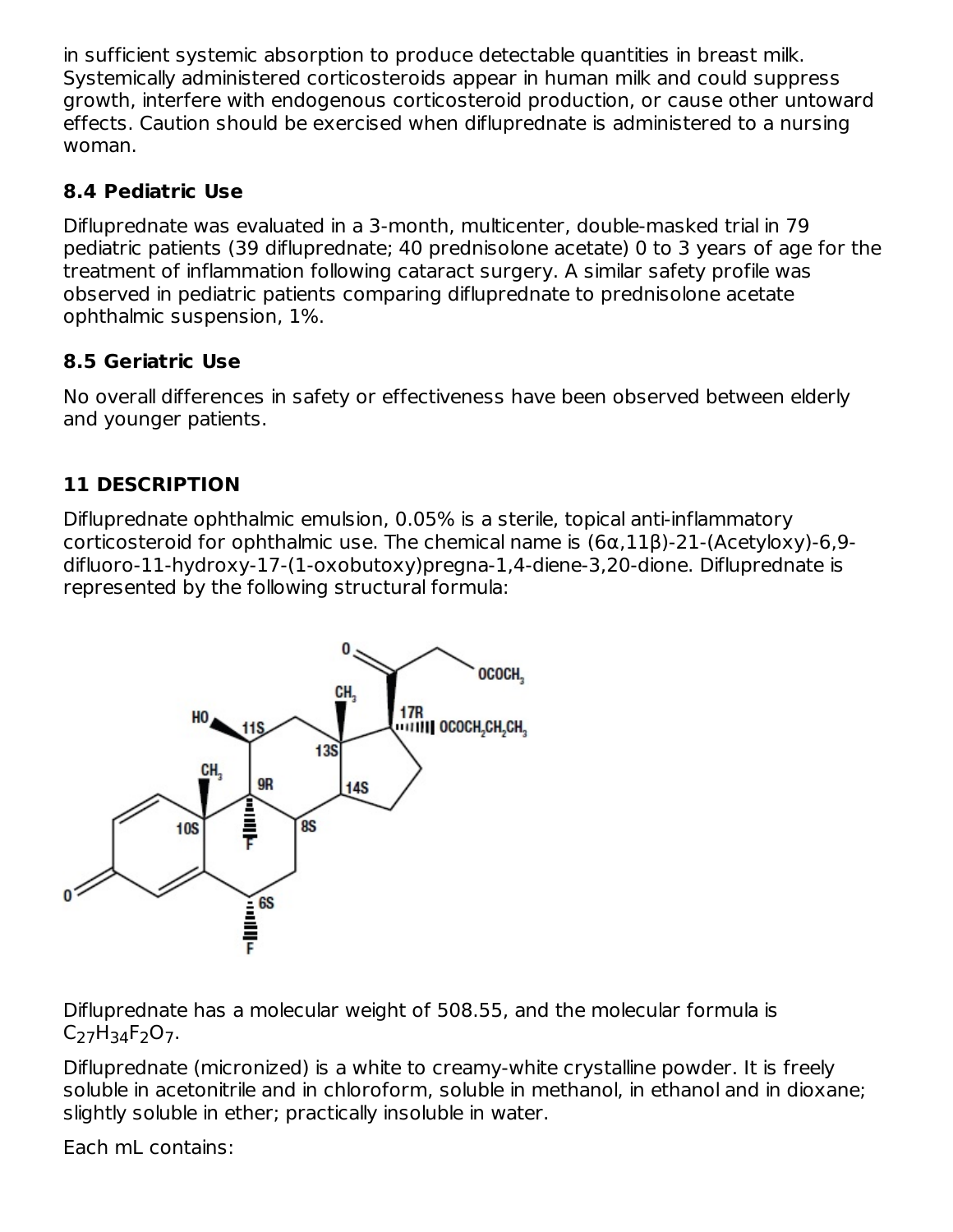in sufficient systemic absorption to produce detectable quantities in breast milk. Systemically administered corticosteroids appear in human milk and could suppress growth, interfere with endogenous corticosteroid production, or cause other untoward effects. Caution should be exercised when difluprednate is administered to a nursing woman.

### **8.4 Pediatric Use**

Difluprednate was evaluated in a 3-month, multicenter, double-masked trial in 79 pediatric patients (39 difluprednate; 40 prednisolone acetate) 0 to 3 years of age for the treatment of inflammation following cataract surgery. A similar safety profile was observed in pediatric patients comparing difluprednate to prednisolone acetate ophthalmic suspension, 1%.

### **8.5 Geriatric Use**

No overall differences in safety or effectiveness have been observed between elderly and younger patients.

# **11 DESCRIPTION**

Difluprednate ophthalmic emulsion, 0.05% is a sterile, topical anti-inflammatory corticosteroid for ophthalmic use. The chemical name is (6α,11β)-21-(Acetyloxy)-6,9 difluoro-11-hydroxy-17-(1-oxobutoxy)pregna-1,4-diene-3,20-dione. Difluprednate is represented by the following structural formula:



Difluprednate has a molecular weight of 508.55, and the molecular formula is C<sub>27</sub>H<sub>34</sub>F<sub>2</sub>O<sub>7</sub>.

Difluprednate (micronized) is a white to creamy-white crystalline powder. It is freely soluble in acetonitrile and in chloroform, soluble in methanol, in ethanol and in dioxane; slightly soluble in ether; practically insoluble in water.

Each mL contains: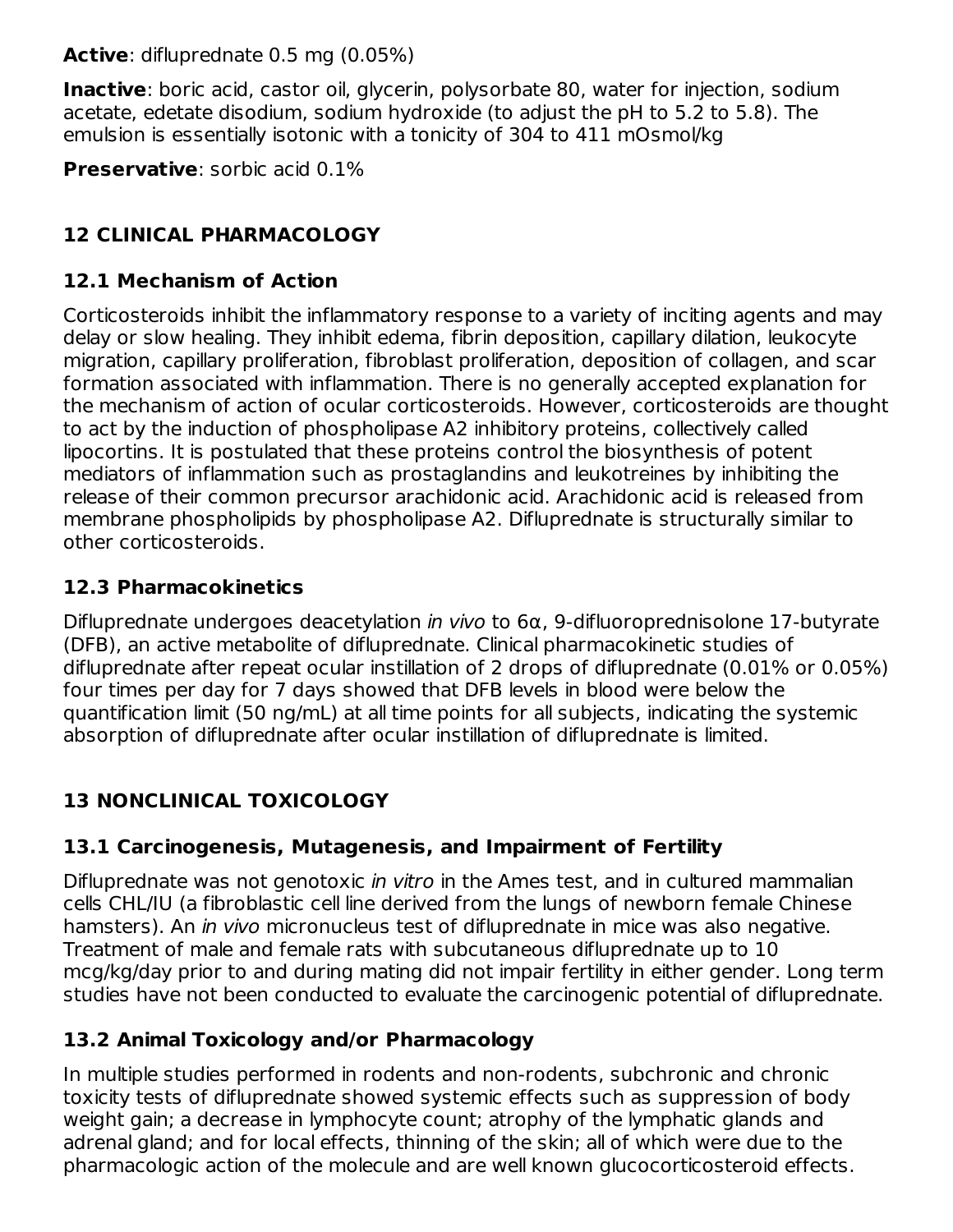**Active**: difluprednate 0.5 mg (0.05%)

**Inactive**: boric acid, castor oil, glycerin, polysorbate 80, water for injection, sodium acetate, edetate disodium, sodium hydroxide (to adjust the pH to 5.2 to 5.8). The emulsion is essentially isotonic with a tonicity of 304 to 411 mOsmol/kg

**Preservative**: sorbic acid 0.1%

### **12 CLINICAL PHARMACOLOGY**

#### **12.1 Mechanism of Action**

Corticosteroids inhibit the inflammatory response to a variety of inciting agents and may delay or slow healing. They inhibit edema, fibrin deposition, capillary dilation, leukocyte migration, capillary proliferation, fibroblast proliferation, deposition of collagen, and scar formation associated with inflammation. There is no generally accepted explanation for the mechanism of action of ocular corticosteroids. However, corticosteroids are thought to act by the induction of phospholipase A2 inhibitory proteins, collectively called lipocortins. It is postulated that these proteins control the biosynthesis of potent mediators of inflammation such as prostaglandins and leukotreines by inhibiting the release of their common precursor arachidonic acid. Arachidonic acid is released from membrane phospholipids by phospholipase A2. Difluprednate is structurally similar to other corticosteroids.

#### **12.3 Pharmacokinetics**

Difluprednate undergoes deacetylation in vivo to  $6\alpha$ , 9-difluoroprednisolone 17-butyrate (DFB), an active metabolite of difluprednate. Clinical pharmacokinetic studies of difluprednate after repeat ocular instillation of 2 drops of difluprednate (0.01% or 0.05%) four times per day for 7 days showed that DFB levels in blood were below the quantification limit (50 ng/mL) at all time points for all subjects, indicating the systemic absorption of difluprednate after ocular instillation of difluprednate is limited.

### **13 NONCLINICAL TOXICOLOGY**

### **13.1 Carcinogenesis, Mutagenesis, and Impairment of Fertility**

Difluprednate was not genotoxic in vitro in the Ames test, and in cultured mammalian cells CHL/IU (a fibroblastic cell line derived from the lungs of newborn female Chinese hamsters). An *in vivo* micronucleus test of difluprednate in mice was also negative. Treatment of male and female rats with subcutaneous difluprednate up to 10 mcg/kg/day prior to and during mating did not impair fertility in either gender. Long term studies have not been conducted to evaluate the carcinogenic potential of difluprednate.

#### **13.2 Animal Toxicology and/or Pharmacology**

In multiple studies performed in rodents and non-rodents, subchronic and chronic toxicity tests of difluprednate showed systemic effects such as suppression of body weight gain; a decrease in lymphocyte count; atrophy of the lymphatic glands and adrenal gland; and for local effects, thinning of the skin; all of which were due to the pharmacologic action of the molecule and are well known glucocorticosteroid effects.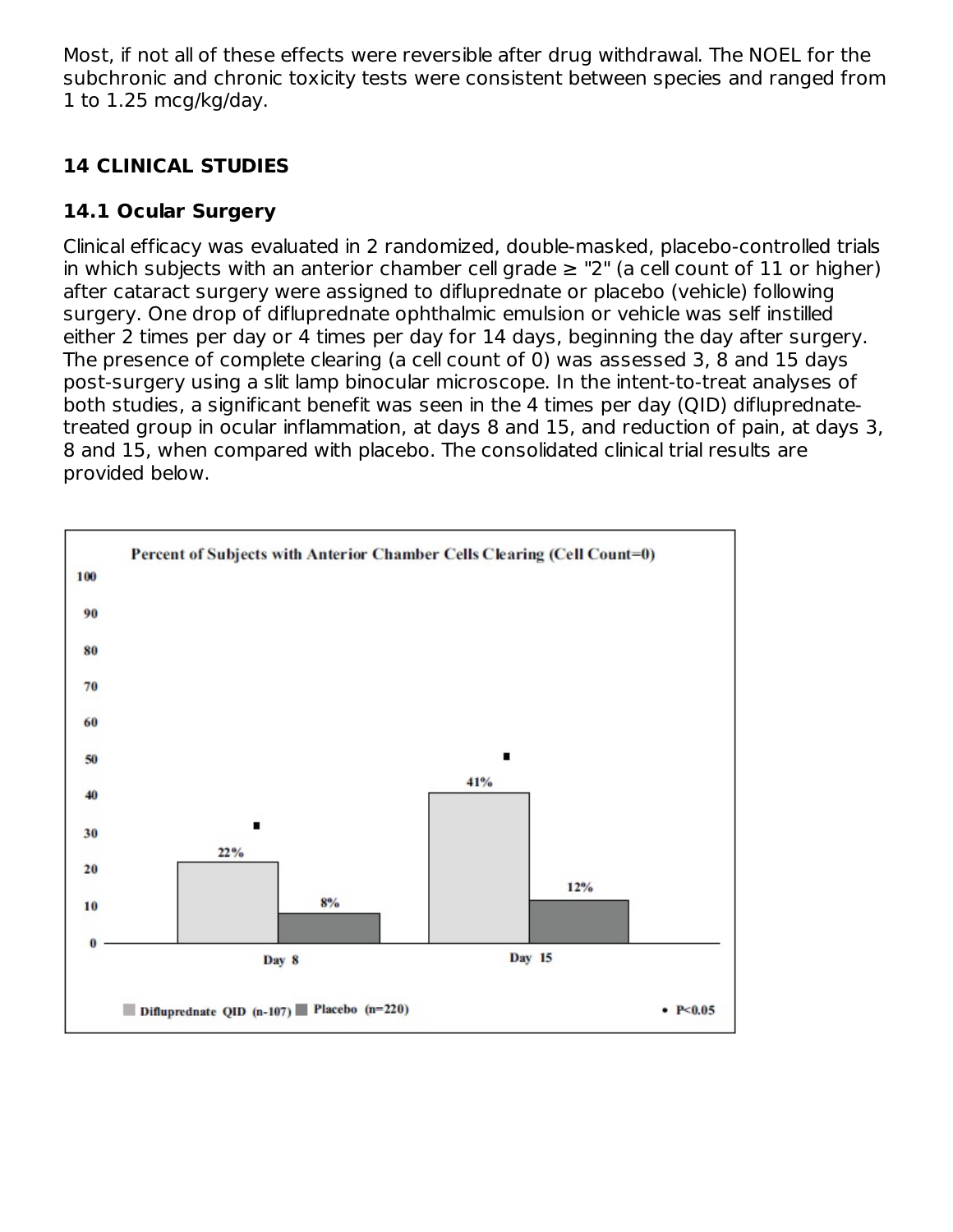Most, if not all of these effects were reversible after drug withdrawal. The NOEL for the subchronic and chronic toxicity tests were consistent between species and ranged from 1 to 1.25 mcg/kg/day.

### **14 CLINICAL STUDIES**

### **14.1 Ocular Surgery**

Clinical efficacy was evaluated in 2 randomized, double-masked, placebo-controlled trials in which subjects with an anterior chamber cell grade  $\ge$  "2" (a cell count of 11 or higher) after cataract surgery were assigned to difluprednate or placebo (vehicle) following surgery. One drop of difluprednate ophthalmic emulsion or vehicle was self instilled either 2 times per day or 4 times per day for 14 days, beginning the day after surgery. The presence of complete clearing (a cell count of 0) was assessed 3, 8 and 15 days post-surgery using a slit lamp binocular microscope. In the intent-to-treat analyses of both studies, a significant benefit was seen in the 4 times per day (QID) difluprednatetreated group in ocular inflammation, at days 8 and 15, and reduction of pain, at days 3, 8 and 15, when compared with placebo. The consolidated clinical trial results are provided below.

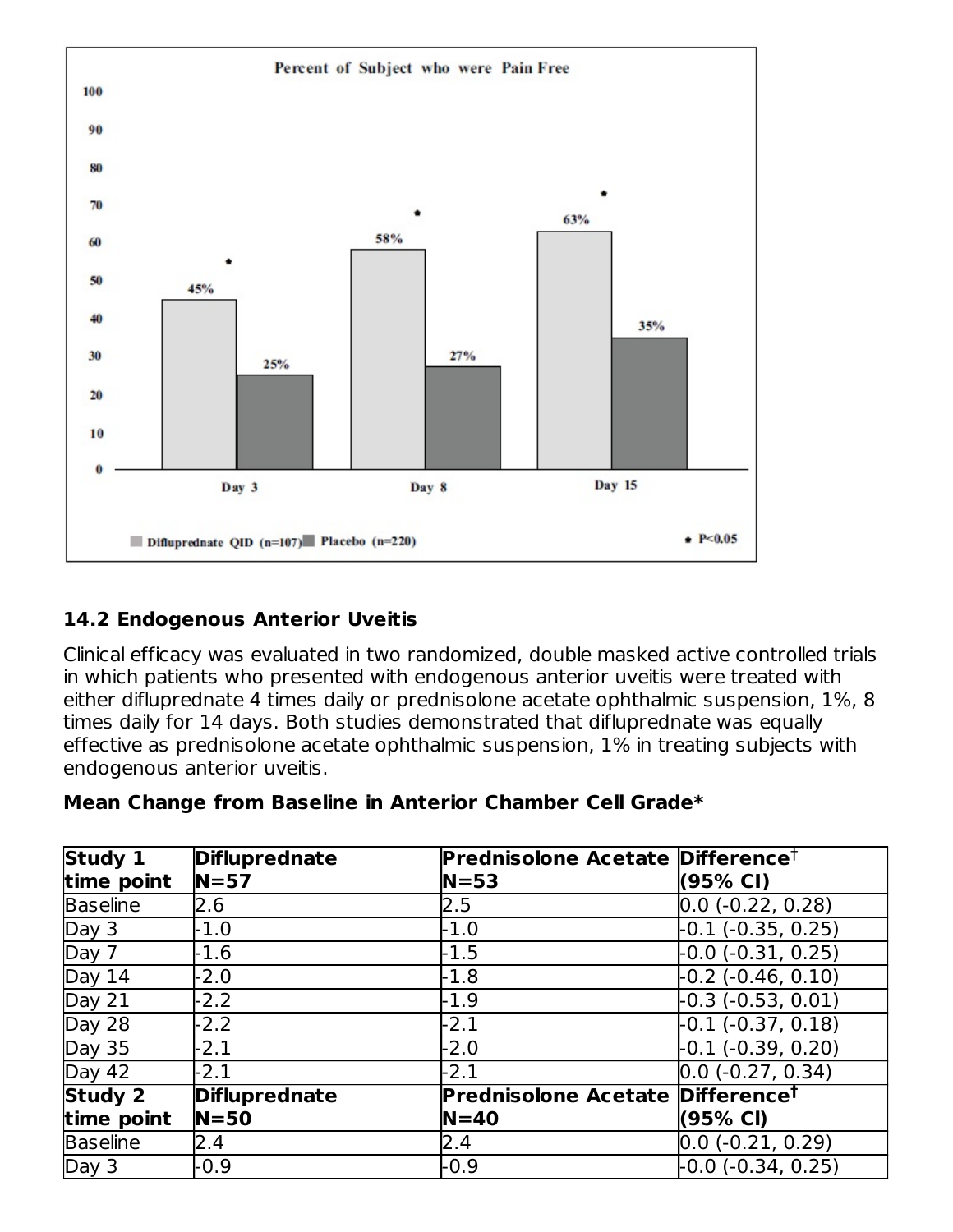

### **14.2 Endogenous Anterior Uveitis**

Clinical efficacy was evaluated in two randomized, double masked active controlled trials in which patients who presented with endogenous anterior uveitis were treated with either difluprednate 4 times daily or prednisolone acetate ophthalmic suspension, 1%, 8 times daily for 14 days. Both studies demonstrated that difluprednate was equally effective as prednisolone acetate ophthalmic suspension, 1% in treating subjects with endogenous anterior uveitis.

#### **Mean Change from Baseline in Anterior Chamber Cell Grade\***

| Study 1         | <b>Difluprednate</b> | Prednisolone Acetate Difference <sup>†</sup> |                                |
|-----------------|----------------------|----------------------------------------------|--------------------------------|
| time point      | $N = 57$             | $N = 53$                                     | (95% CI)                       |
| <b>Baseline</b> | 2.6                  | $2.5\,$                                      | $0.0$ (-0.22, 0.28)            |
| Day 3           | -1.0                 | $-1.0$                                       | -0.1 (-0.35, 0.25)             |
| Day 7           | $-1.6$               | $-1.5$                                       | $-0.0$ (-0.31, 0.25)           |
| Day 14          | $-2.0$               | $-1.8$                                       | $-0.2$ $(-0.46, 0.10)$         |
| Day $21$        | $-2.2$               | $-1.9$                                       | $-0.3$ ( $-0.53$ , $0.01$ )    |
| Day 28          | $-2.2$               | $-2.1$                                       | -0.1 (-0.37, 0.18)             |
| <b>Day 35</b>   | $-2.1$               | $-2.0$                                       | -0.1 (-0.39, 0.20)             |
| Day 42          | $-2.1$               | $-2.1$                                       | $\overline{0.0}$ (-0.27, 0.34) |
| Study 2         | <b>Difluprednate</b> | <b>Prednisolone Acetate</b>                  | Difference <sup>t</sup>        |
| time point      | $N = 50$             | $N = 40$                                     | (95% CI)                       |
| <b>Baseline</b> | 2.4                  | 2.4                                          | $0.0$ (-0.21, 0.29)            |
| Day 3           | -0.9                 | $-0.9$                                       | $-0.0$ ( $-0.34$ , 0.25)       |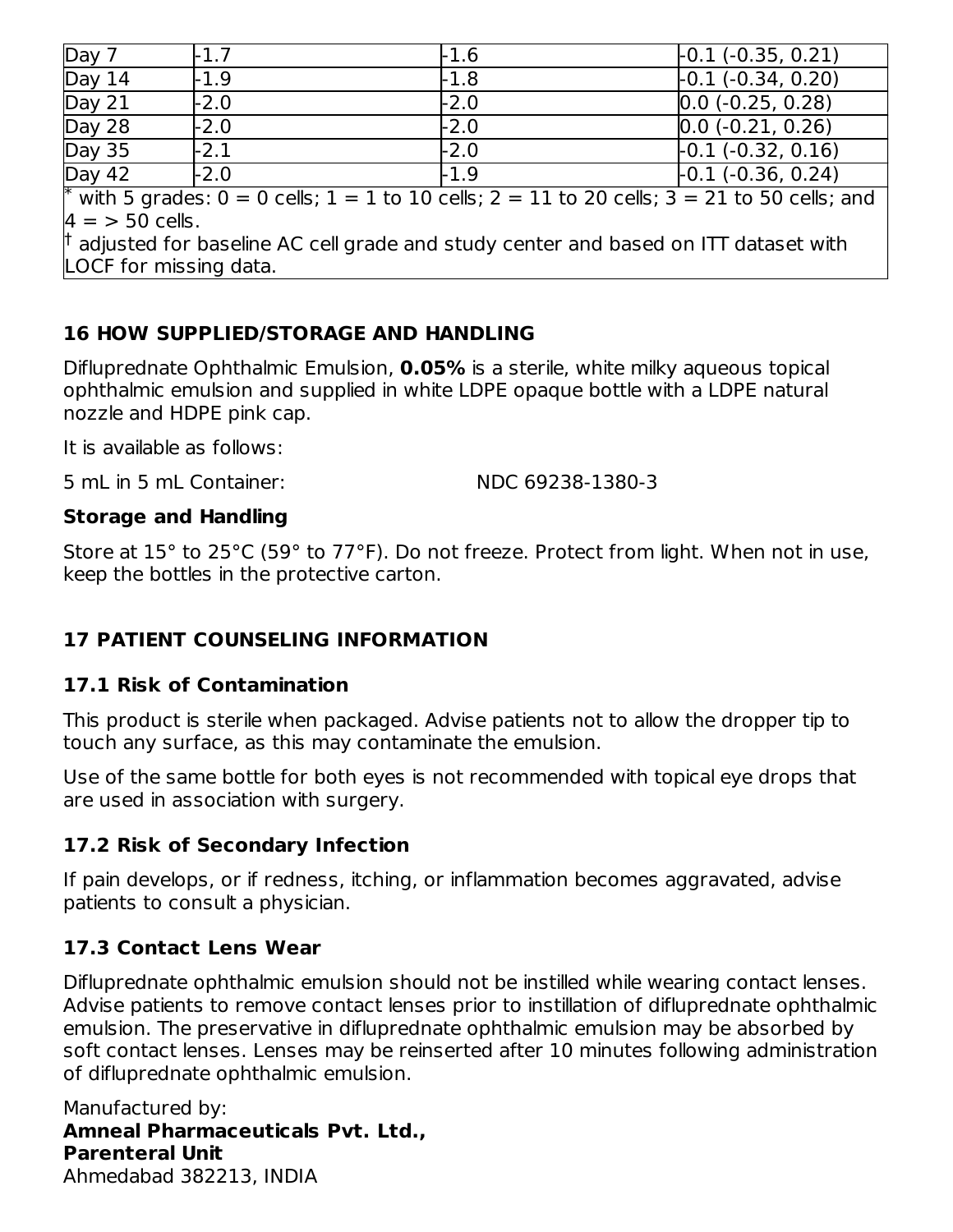| Day 7                                                                                                           | $-1.7$ | $-1.6$ | $-0.1 (-0.35, 0.21)$ |  |
|-----------------------------------------------------------------------------------------------------------------|--------|--------|----------------------|--|
| Day 14                                                                                                          | -1.9   | -1.8   | $-0.1(-0.34, 0.20)$  |  |
| Day 21                                                                                                          | $-2.0$ | $-2.0$ | $0.0$ (-0.25, 0.28)  |  |
| Day 28                                                                                                          | $-2.0$ | $-2.0$ | $0.0$ (-0.21, 0.26)  |  |
| <b>Day 35</b>                                                                                                   | -2.1   | $-2.0$ | $-0.1 (-0.32, 0.16)$ |  |
| Day 42                                                                                                          | $-2.0$ | $-1.9$ | $-0.1 (-0.36, 0.24)$ |  |
| <sup>*</sup> with 5 grades: $0 = 0$ cells; $1 = 1$ to 10 cells; $2 = 11$ to 20 cells; $3 = 21$ to 50 cells; and |        |        |                      |  |
| $4 = 50$ cells.                                                                                                 |        |        |                      |  |
| $\dag$ adjusted for baseline AC cell grade and study center and based on ITT dataset with                       |        |        |                      |  |
| LOCF for missing data.                                                                                          |        |        |                      |  |

# **16 HOW SUPPLIED/STORAGE AND HANDLING**

Difluprednate Ophthalmic Emulsion, **0.05%** is a sterile, white milky aqueous topical ophthalmic emulsion and supplied in white LDPE opaque bottle with a LDPE natural nozzle and HDPE pink cap.

It is available as follows:

5 mL in 5 mL Container: NDC 69238-1380-3

### **Storage and Handling**

Store at 15° to 25°C (59° to 77°F). Do not freeze. Protect from light. When not in use, keep the bottles in the protective carton.

### **17 PATIENT COUNSELING INFORMATION**

### **17.1 Risk of Contamination**

This product is sterile when packaged. Advise patients not to allow the dropper tip to touch any surface, as this may contaminate the emulsion.

Use of the same bottle for both eyes is not recommended with topical eye drops that are used in association with surgery.

### **17.2 Risk of Secondary Infection**

If pain develops, or if redness, itching, or inflammation becomes aggravated, advise patients to consult a physician.

### **17.3 Contact Lens Wear**

Difluprednate ophthalmic emulsion should not be instilled while wearing contact lenses. Advise patients to remove contact lenses prior to instillation of difluprednate ophthalmic emulsion. The preservative in difluprednate ophthalmic emulsion may be absorbed by soft contact lenses. Lenses may be reinserted after 10 minutes following administration of difluprednate ophthalmic emulsion.

Manufactured by: **Amneal Pharmaceuticals Pvt. Ltd., Parenteral Unit** Ahmedabad 382213, INDIA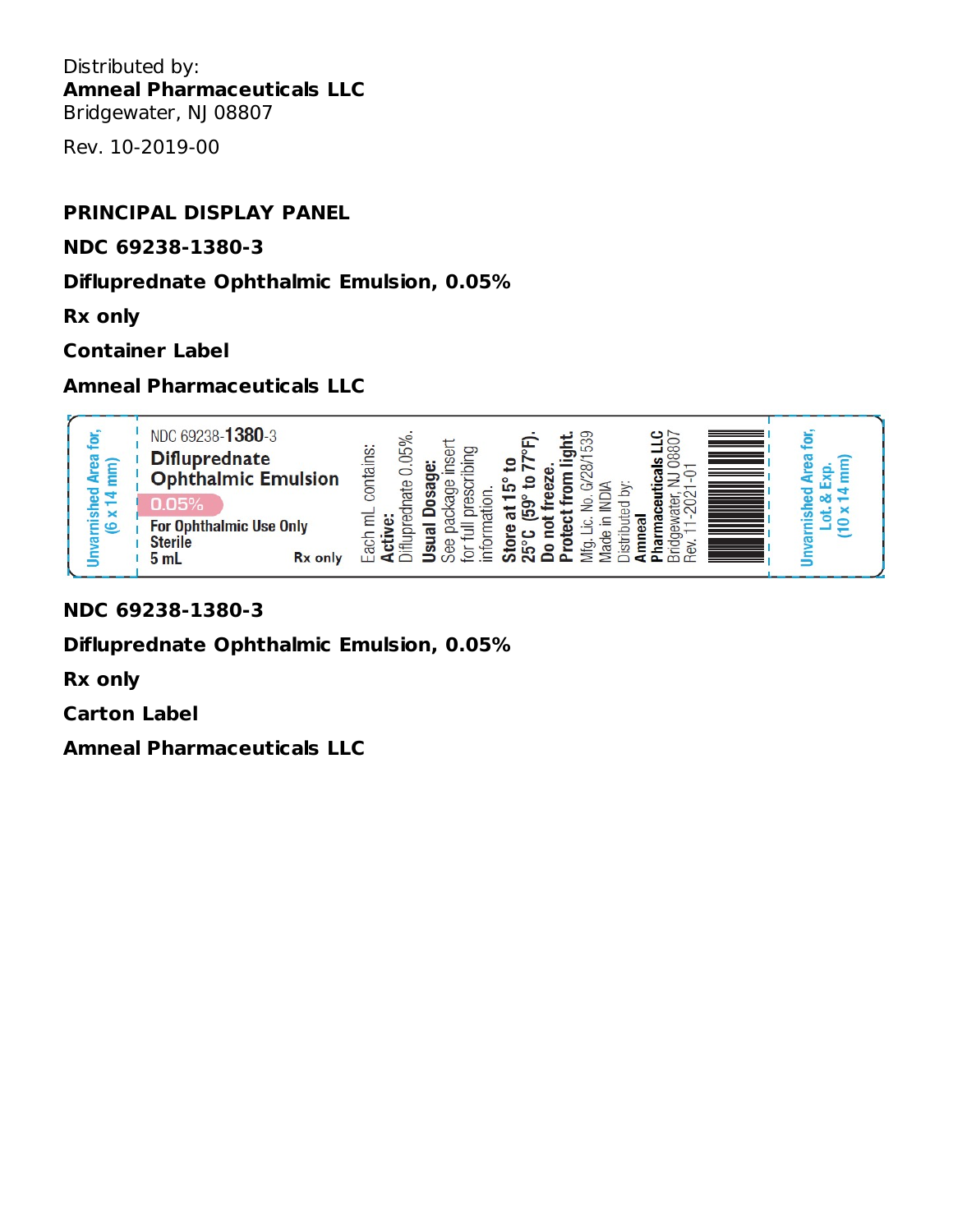Distributed by: **Amneal Pharmaceuticals LLC** Bridgewater, NJ 08807

Rev. 10-2019-00

#### **PRINCIPAL DISPLAY PANEL**

#### **NDC 69238-1380-3**

#### **Difluprednate Ophthalmic Emulsion, 0.05%**

**Rx only**

#### **Container Label**

#### **Amneal Pharmaceuticals LLC**



#### **NDC 69238-1380-3**

**Difluprednate Ophthalmic Emulsion, 0.05%**

**Rx only**

**Carton Label**

**Amneal Pharmaceuticals LLC**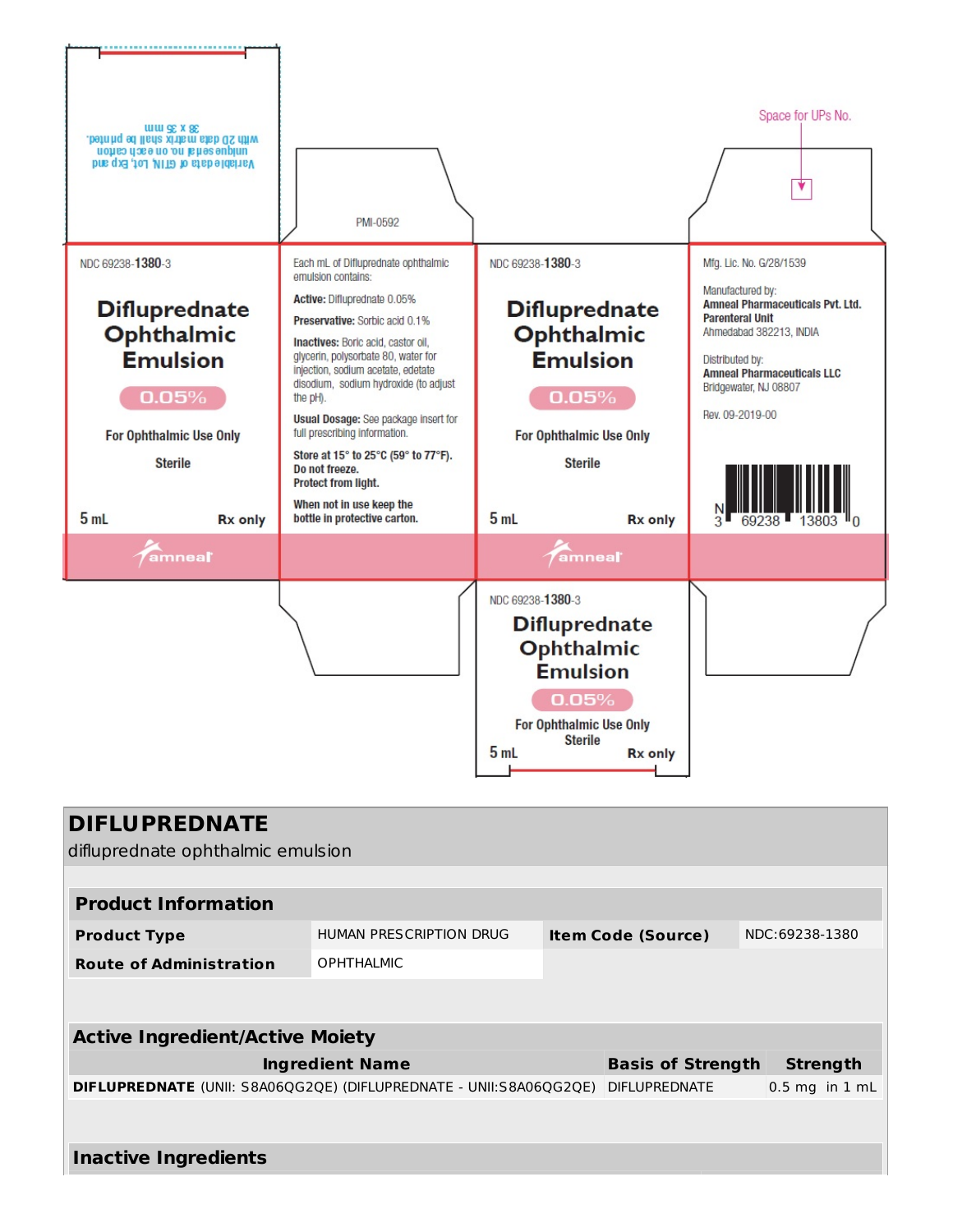

| <b>DIFLUPREDNATE</b><br>difluprednate ophthalmic emulsion          |                         |  |                           |                |                    |
|--------------------------------------------------------------------|-------------------------|--|---------------------------|----------------|--------------------|
|                                                                    |                         |  |                           |                |                    |
| <b>Product Information</b>                                         |                         |  |                           |                |                    |
| <b>Product Type</b>                                                | HUMAN PRESCRIPTION DRUG |  | <b>Item Code (Source)</b> | NDC:69238-1380 |                    |
| <b>Route of Administration</b>                                     | <b>OPHTHALMIC</b>       |  |                           |                |                    |
|                                                                    |                         |  |                           |                |                    |
| <b>Active Ingredient/Active Moiety</b>                             |                         |  |                           |                |                    |
|                                                                    | <b>Ingredient Name</b>  |  | <b>Basis of Strength</b>  |                | <b>Strength</b>    |
| DIFLUPREDNATE (UNII: S8A06QG2QE) (DIFLUPREDNATE - UNII:S8A06QG2QE) |                         |  | <b>DIFLUPREDNATE</b>      |                | $0.5$ mg in $1$ mL |
|                                                                    |                         |  |                           |                |                    |
| <b>Inactive Ingredients</b>                                        |                         |  |                           |                |                    |